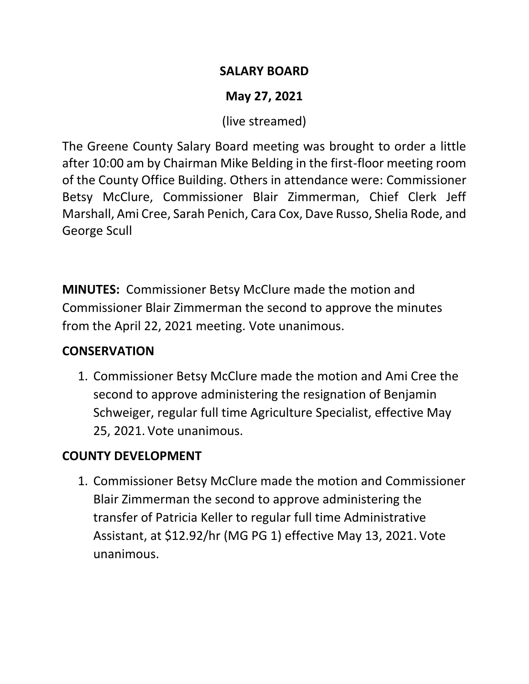#### **SALARY BOARD**

# **May 27, 2021**

(live streamed)

The Greene County Salary Board meeting was brought to order a little after 10:00 am by Chairman Mike Belding in the first-floor meeting room of the County Office Building. Others in attendance were: Commissioner Betsy McClure, Commissioner Blair Zimmerman, Chief Clerk Jeff Marshall, Ami Cree, Sarah Penich, Cara Cox, Dave Russo, Shelia Rode, and George Scull

**MINUTES:** Commissioner Betsy McClure made the motion and Commissioner Blair Zimmerman the second to approve the minutes from the April 22, 2021 meeting. Vote unanimous.

#### **CONSERVATION**

1. Commissioner Betsy McClure made the motion and Ami Cree the second to approve administering the resignation of Benjamin Schweiger, regular full time Agriculture Specialist, effective May 25, 2021. Vote unanimous.

## **COUNTY DEVELOPMENT**

1. Commissioner Betsy McClure made the motion and Commissioner Blair Zimmerman the second to approve administering the transfer of Patricia Keller to regular full time Administrative Assistant, at \$12.92/hr (MG PG 1) effective May 13, 2021. Vote unanimous.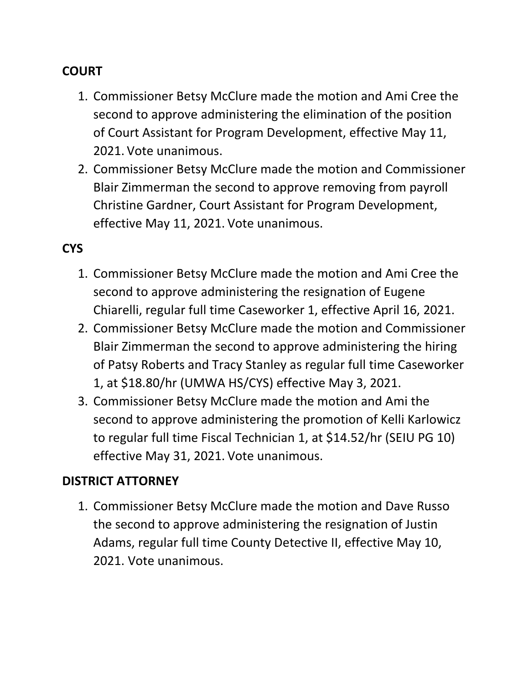### **COURT**

- 1. Commissioner Betsy McClure made the motion and Ami Cree the second to approve administering the elimination of the position of Court Assistant for Program Development, effective May 11, 2021. Vote unanimous.
- 2. Commissioner Betsy McClure made the motion and Commissioner Blair Zimmerman the second to approve removing from payroll Christine Gardner, Court Assistant for Program Development, effective May 11, 2021. Vote unanimous.

### **CYS**

- 1. Commissioner Betsy McClure made the motion and Ami Cree the second to approve administering the resignation of Eugene Chiarelli, regular full time Caseworker 1, effective April 16, 2021.
- 2. Commissioner Betsy McClure made the motion and Commissioner Blair Zimmerman the second to approve administering the hiring of Patsy Roberts and Tracy Stanley as regular full time Caseworker 1, at \$18.80/hr (UMWA HS/CYS) effective May 3, 2021.
- 3. Commissioner Betsy McClure made the motion and Ami the second to approve administering the promotion of Kelli Karlowicz to regular full time Fiscal Technician 1, at \$14.52/hr (SEIU PG 10) effective May 31, 2021. Vote unanimous.

#### **DISTRICT ATTORNEY**

1. Commissioner Betsy McClure made the motion and Dave Russo the second to approve administering the resignation of Justin Adams, regular full time County Detective II, effective May 10, 2021. Vote unanimous.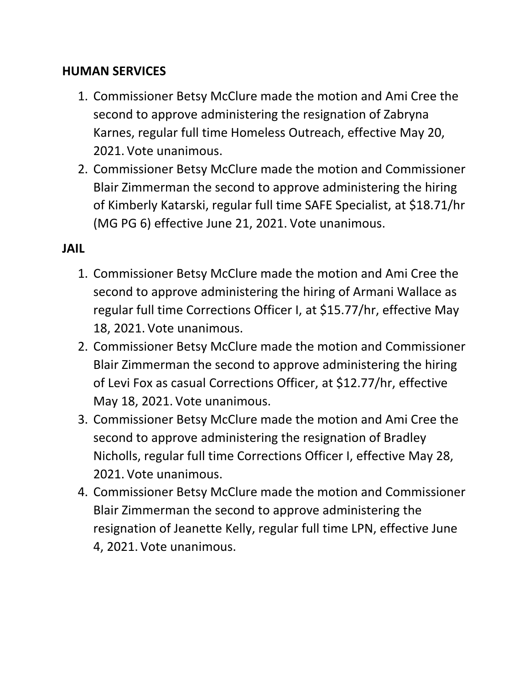#### **HUMAN SERVICES**

- 1. Commissioner Betsy McClure made the motion and Ami Cree the second to approve administering the resignation of Zabryna Karnes, regular full time Homeless Outreach, effective May 20, 2021. Vote unanimous.
- 2. Commissioner Betsy McClure made the motion and Commissioner Blair Zimmerman the second to approve administering the hiring of Kimberly Katarski, regular full time SAFE Specialist, at \$18.71/hr (MG PG 6) effective June 21, 2021. Vote unanimous.

#### **JAIL**

- 1. Commissioner Betsy McClure made the motion and Ami Cree the second to approve administering the hiring of Armani Wallace as regular full time Corrections Officer I, at \$15.77/hr, effective May 18, 2021. Vote unanimous.
- 2. Commissioner Betsy McClure made the motion and Commissioner Blair Zimmerman the second to approve administering the hiring of Levi Fox as casual Corrections Officer, at \$12.77/hr, effective May 18, 2021. Vote unanimous.
- 3. Commissioner Betsy McClure made the motion and Ami Cree the second to approve administering the resignation of Bradley Nicholls, regular full time Corrections Officer I, effective May 28, 2021. Vote unanimous.
- 4. Commissioner Betsy McClure made the motion and Commissioner Blair Zimmerman the second to approve administering the resignation of Jeanette Kelly, regular full time LPN, effective June 4, 2021. Vote unanimous.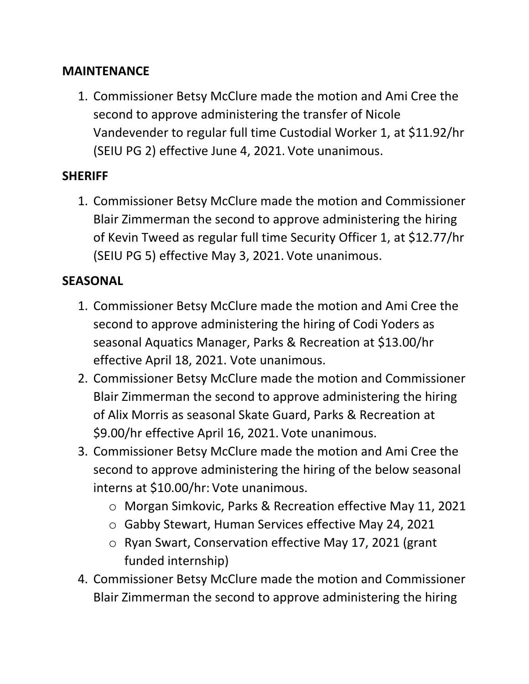#### **MAINTENANCE**

1. Commissioner Betsy McClure made the motion and Ami Cree the second to approve administering the transfer of Nicole Vandevender to regular full time Custodial Worker 1, at \$11.92/hr (SEIU PG 2) effective June 4, 2021. Vote unanimous.

### **SHERIFF**

1. Commissioner Betsy McClure made the motion and Commissioner Blair Zimmerman the second to approve administering the hiring of Kevin Tweed as regular full time Security Officer 1, at \$12.77/hr (SEIU PG 5) effective May 3, 2021. Vote unanimous.

### **SEASONAL**

- 1. Commissioner Betsy McClure made the motion and Ami Cree the second to approve administering the hiring of Codi Yoders as seasonal Aquatics Manager, Parks & Recreation at \$13.00/hr effective April 18, 2021. Vote unanimous.
- 2. Commissioner Betsy McClure made the motion and Commissioner Blair Zimmerman the second to approve administering the hiring of Alix Morris as seasonal Skate Guard, Parks & Recreation at \$9.00/hr effective April 16, 2021. Vote unanimous.
- 3. Commissioner Betsy McClure made the motion and Ami Cree the second to approve administering the hiring of the below seasonal interns at \$10.00/hr: Vote unanimous.
	- o Morgan Simkovic, Parks & Recreation effective May 11, 2021
	- o Gabby Stewart, Human Services effective May 24, 2021
	- o Ryan Swart, Conservation effective May 17, 2021 (grant funded internship)
- 4. Commissioner Betsy McClure made the motion and Commissioner Blair Zimmerman the second to approve administering the hiring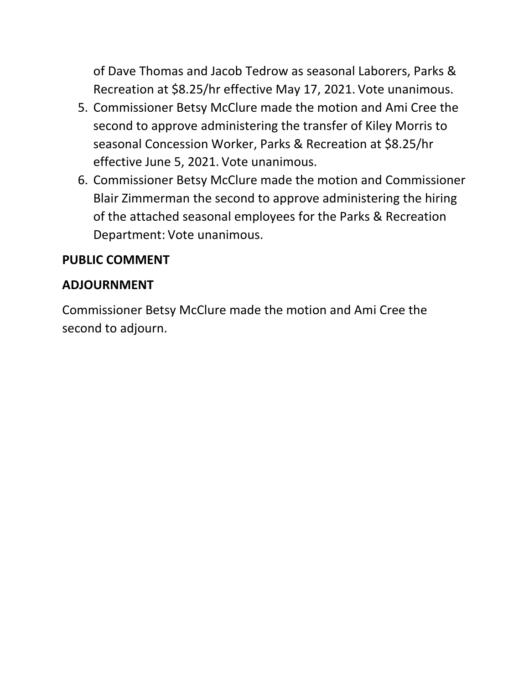of Dave Thomas and Jacob Tedrow as seasonal Laborers, Parks & Recreation at \$8.25/hr effective May 17, 2021. Vote unanimous.

- 5. Commissioner Betsy McClure made the motion and Ami Cree the second to approve administering the transfer of Kiley Morris to seasonal Concession Worker, Parks & Recreation at \$8.25/hr effective June 5, 2021. Vote unanimous.
- 6. Commissioner Betsy McClure made the motion and Commissioner Blair Zimmerman the second to approve administering the hiring of the attached seasonal employees for the Parks & Recreation Department: Vote unanimous.

## **PUBLIC COMMENT**

### **ADJOURNMENT**

Commissioner Betsy McClure made the motion and Ami Cree the second to adjourn.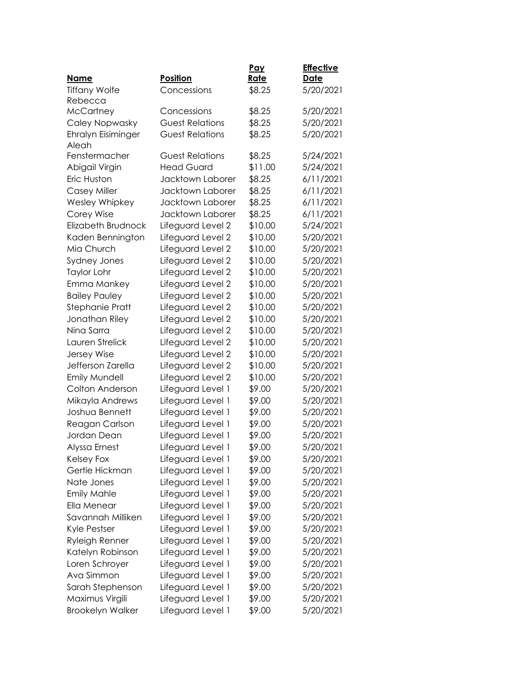|                             |                        | Pay         | <b>Effective</b> |
|-----------------------------|------------------------|-------------|------------------|
| <b>Name</b>                 | Position               | <u>Rate</u> | <b>Date</b>      |
| <b>Tiffany Wolfe</b>        | Concessions            | \$8.25      | 5/20/2021        |
| Rebecca                     | Concessions            |             |                  |
| <b>McCartney</b>            | <b>Guest Relations</b> | \$8.25      | 5/20/2021        |
| Caley Nopwasky              |                        | \$8.25      | 5/20/2021        |
| Ehralyn Eisiminger<br>Aleah | <b>Guest Relations</b> | \$8.25      | 5/20/2021        |
| Fenstermacher               | <b>Guest Relations</b> | \$8.25      | 5/24/2021        |
| Abigail Virgin              | <b>Head Guard</b>      | \$11.00     | 5/24/2021        |
| Eric Huston                 | Jacktown Laborer       | \$8.25      | 6/11/2021        |
| Casey Miller                | Jacktown Laborer       | \$8.25      | 6/11/2021        |
| Wesley Whipkey              | Jacktown Laborer       | \$8.25      | 6/11/2021        |
| Corey Wise                  | Jacktown Laborer       | \$8.25      | 6/11/2021        |
| <b>Elizabeth Brudnock</b>   | Lifeguard Level 2      | \$10.00     | 5/24/2021        |
| Kaden Bennington            | Lifeguard Level 2      | \$10.00     | 5/20/2021        |
| Mia Church                  | Lifeguard Level 2      | \$10.00     | 5/20/2021        |
| Sydney Jones                | Lifeguard Level 2      | \$10.00     | 5/20/2021        |
| <b>Taylor Lohr</b>          | Lifeguard Level 2      | \$10.00     | 5/20/2021        |
| Emma Mankey                 | Lifeguard Level 2      | \$10.00     | 5/20/2021        |
| <b>Bailey Pauley</b>        | Lifeguard Level 2      | \$10.00     | 5/20/2021        |
| Stephanie Pratt             | Lifeguard Level 2      | \$10.00     | 5/20/2021        |
| Jonathan Riley              | Lifeguard Level 2      | \$10.00     | 5/20/2021        |
| Nina Sarra                  | Lifeguard Level 2      | \$10.00     | 5/20/2021        |
| Lauren Strelick             | Lifeguard Level 2      | \$10.00     | 5/20/2021        |
| Jersey Wise                 | Lifeguard Level 2      | \$10.00     | 5/20/2021        |
| Jefferson Zarella           | Lifeguard Level 2      | \$10.00     | 5/20/2021        |
| <b>Emily Mundell</b>        | Lifeguard Level 2      | \$10.00     | 5/20/2021        |
| Colton Anderson             | Lifeguard Level 1      | \$9.00      | 5/20/2021        |
| Mikayla Andrews             | Lifeguard Level 1      | \$9.00      | 5/20/2021        |
| Joshua Bennett              | Lifeguard Level 1      | \$9.00      | 5/20/2021        |
| Reagan Carlson              | Lifeguard Level 1      | \$9.00      | 5/20/2021        |
| Jordan Dean                 | Lifeguard Level 1      | \$9.00      | 5/20/2021        |
| Alyssa Ernest               | Lifeguard Level 1      | \$9.00      | 5/20/2021        |
| Kelsey Fox                  | Lifeguard Level 1      | \$9.00      | 5/20/2021        |
| Gertie Hickman              | Lifeguard Level 1      | \$9.00      | 5/20/2021        |
| Nate Jones                  | Lifeguard Level 1      | \$9.00      | 5/20/2021        |
| <b>Emily Mahle</b>          | Lifeguard Level 1      | \$9.00      | 5/20/2021        |
| Ella Menear                 | Lifeguard Level 1      | \$9.00      | 5/20/2021        |
| Savannah Milliken           | Lifeguard Level 1      | \$9.00      | 5/20/2021        |
| Kyle Pestser                | Lifeguard Level 1      | \$9.00      | 5/20/2021        |
| Ryleigh Renner              | Lifeguard Level 1      | \$9.00      | 5/20/2021        |
| Katelyn Robinson            | Lifeguard Level 1      | \$9.00      | 5/20/2021        |
| Loren Schroyer              | Lifeguard Level 1      | \$9.00      | 5/20/2021        |
| Ava Simmon                  | Lifeguard Level 1      | \$9.00      | 5/20/2021        |
| Sarah Stephenson            | Lifeguard Level 1      | \$9.00      | 5/20/2021        |
| Maximus Virgili             | Lifeguard Level 1      | \$9.00      | 5/20/2021        |
| <b>Brookelyn Walker</b>     | Lifeguard Level 1      | \$9.00      | 5/20/2021        |